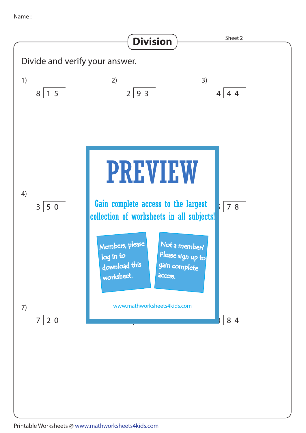